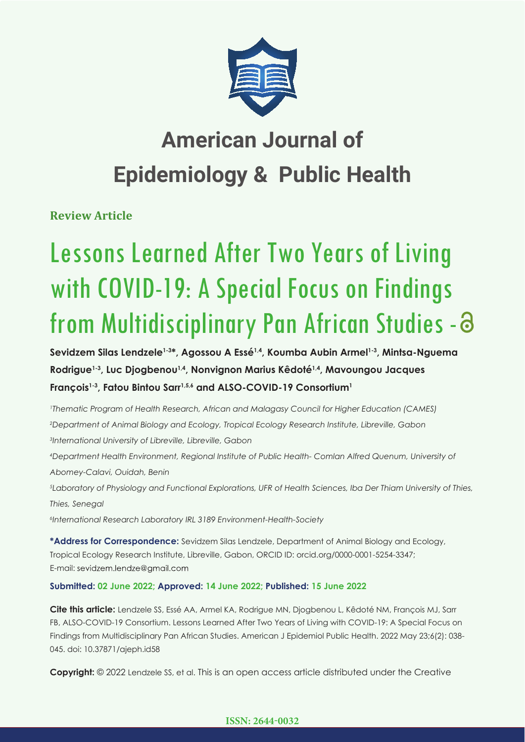

## **American Journal of Epidemiology & Public Health**

**Review Article**

# Lessons Learned After Two Years of Living with COVID-19: A Special Focus on Findings from Multidisciplinary Pan African Studies - 3

**Sevidzem Silas Lendzele1-3\*, Agossou A Essé1,4, Koumba Aubin Armel1-3, Mintsa-Nguema Rodrigue1-3, Luc Djogbenou1,4, Nonvignon Marius Kêdoté1,4, Mavoungou Jacques François1-3, Fatou Bintou Sarr1,5,6 and ALSO-COVID-19 Consortium1**

*1 Thematic Program of Health Research, African and Malagasy Council for Higher Education (CAMES) 2 Department of Animal Biology and Ecology, Tropical Ecology Research Institute, Libreville, Gabon 3 International University of Libreville, Libreville, Gabon* 

*4 Department Health Environment, Regional Institute of Public Health- Comlan Alfred Quenum, University of Abomey-Calavi, Ouidah, Benin*

*5 Laboratory of Physiology and Functional Explorations, UFR of Health Sciences, Iba Der Thiam University of Thies, Thies, Senegal*

*6 International Research Laboratory IRL 3189 Environment-Health-Society* 

**\*Address for Correspondence:** Sevidzem Silas Lendzele, Department of Animal Biology and Ecology, Tropical Ecology Research Institute, Libreville, Gabon, ORCID ID: orcid.org/0000-0001-5254-3347; E-mail: sevidzem.lendze@gmail.com

**Submitted: 02 June 2022; Approved: 14 June 2022; Published: 15 June 2022**

**Cite this article:** Lendzele SS, Essé AA, Armel KA, Rodrigue MN, Djogbenou L, Kêdoté NM, François MJ, Sarr FB, ALSO-COVID-19 Consortium. Lessons Learned After Two Years of Living with COVID-19: A Special Focus on Findings from Multidisciplinary Pan African Studies. American J Epidemiol Public Health. 2022 May 23;6(2): 038- 045. doi: 10.37871/ajeph.id58

**Copyright:** © 2022 Lendzele SS, et al. This is an open access article distributed under the Creative

#### **ISSN: 2644-0032**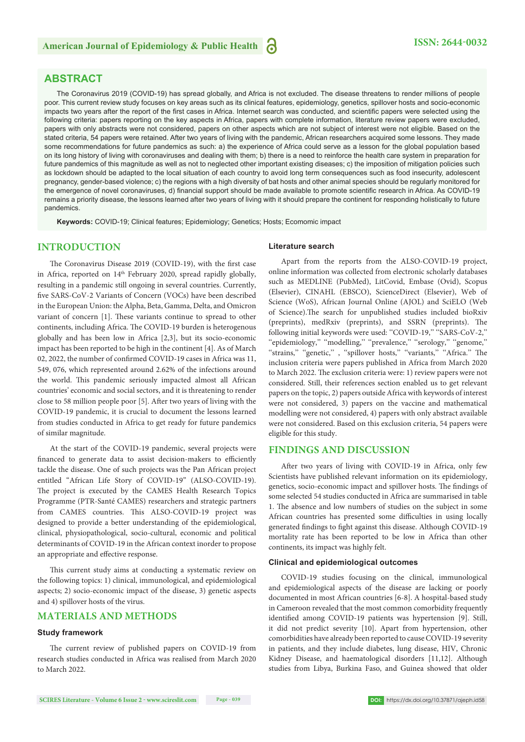#### **ABSTRACT**

The Coronavirus 2019 (COVID-19) has spread globally, and Africa is not excluded. The disease threatens to render millions of people poor. This current review study focuses on key areas such as its clinical features, epidemiology, genetics, spillover hosts and socio-economic impacts two years after the report of the first cases in Africa. Internet search was conducted, and scientific papers were selected using the following criteria: papers reporting on the key aspects in Africa, papers with complete information, literature review papers were excluded, papers with only abstracts were not considered, papers on other aspects which are not subject of interest were not eligible. Based on the stated criteria, 54 papers were retained. After two years of living with the pandemic, African researchers acquired some lessons. They made some recommendations for future pandemics as such: a) the experience of Africa could serve as a lesson for the global population based on its long history of living with coronaviruses and dealing with them; b) there is a need to reinforce the health care system in preparation for future pandemics of this magnitude as well as not to neglected other important existing diseases; c) the imposition of mitigation policies such as lockdown should be adapted to the local situation of each country to avoid long term consequences such as food insecurity, adolescent pregnancy, gender-based violence; c) the regions with a high diversity of bat hosts and other animal species should be regularly monitored for the emergence of novel coronaviruses, d) financial support should be made available to promote scientific research in Africa. As COVID-19 remains a priority disease, the lessons learned after two years of living with it should prepare the continent for responding holistically to future pandemics.

**Keywords:** COVID-19; Clinical features; Epidemiology; Genetics; Hosts; Ecomomic impact

#### **INTRODUCTION**

The Coronavirus Disease 2019 (COVID-19), with the first case in Africa, reported on 14<sup>th</sup> February 2020, spread rapidly globally, resulting in a pandemic still ongoing in several countries. Currently, five SARS-CoV-2 Variants of Concern (VOCs) have been described in the European Union: the Alpha, Beta, Gamma, Delta, and Omicron variant of concern [1]. These variants continue to spread to other continents, including Africa. The COVID-19 burden is heterogenous globally and has been low in Africa [2,3], but its socio-economic impact has been reported to be high in the continent [4]. As of March 02, 2022, the number of confirmed COVID-19 cases in Africa was 11, 549, 076, which represented around 2.62% of the infections around the world. This pandemic seriously impacted almost all African countries' economic and social sectors, and it is threatening to render close to 58 million people poor [5]. After two years of living with the COVID-19 pandemic, it is crucial to document the lessons learned from studies conducted in Africa to get ready for future pandemics of similar magnitude.

At the start of the COVID-19 pandemic, several projects were financed to generate data to assist decision-makers to efficiently tackle the disease. One of such projects was the Pan African project entitled "African Life Story of COVID-19" (ALSO-COVID-19). The project is executed by the CAMES Health Research Topics Programme (PTR-Santé CAMES) researchers and strategic partners from CAMES countries. This ALSO-COVID-19 project was designed to provide a better understanding of the epidemiological, clinical, physiopathological, socio-cultural, economic and political determinants of COVID-19 in the African context inorder to propose an appropriate and effective response.

This current study aims at conducting a systematic review on the following topics: 1) clinical, immunological, and epidemiological aspects; 2) socio-economic impact of the disease, 3) genetic aspects and 4) spillover hosts of the virus.

#### **MATERIALS AND METHODS**

#### **Study framework**

The current review of published papers on COVID-19 from research studies conducted in Africa was realised from March 2020 to March 2022.

#### **Literature search**

Apart from the reports from the ALSO-COVID-19 project, online information was collected from electronic scholarly databases such as MEDLINE (PubMed), LitCovid, Embase (Ovid), Scopus (Elsevier), CINAHL (EBSCO), ScienceDirect (Elsevier), Web of Science (WoS), African Journal Online (AJOL) and SciELO (Web of Science).The search for unpublished studies included bioRxiv (preprints), medRxiv (preprints), and SSRN (preprints). The following initial keywords were used: ''COVID-19,'' ''SARS-CoV-2,'' ''epidemiology,'' ''modelling,'' ''prevalence,'' ''serology,'' ''genome,'' "strains," "genetic,", "spillover hosts," "variants," "Africa." The inclusion criteria were papers published in Africa from March 2020 to March 2022. The exclusion criteria were: 1) review papers were not considered. Still, their references section enabled us to get relevant papers on the topic, 2) papers outside Africa with keywords of interest were not considered, 3) papers on the vaccine and mathematical modelling were not considered, 4) papers with only abstract available were not considered. Based on this exclusion criteria, 54 papers were eligible for this study.

#### **FINDINGS AND DISCUSSION**

After two years of living with COVID-19 in Africa, only few Scientists have published relevant information on its epidemiology, genetics, socio-economic impact and spillover hosts. The findings of some selected 54 studies conducted in Africa are summarised in table 1. The absence and low numbers of studies on the subject in some African countries has presented some difficulties in using locally generated findings to fight against this disease. Although COVID-19 mortality rate has been reported to be low in Africa than other continents, its impact was highly felt.

#### **Clinical and epidemiological outcomes**

COVID-19 studies focusing on the clinical, immunological and epidemiological aspects of the disease are lacking or poorly documented in most African countries [6-8]. A hospital-based study in Cameroon revealed that the most common comorbidity frequently identified among COVID-19 patients was hypertension [9]. Still, it did not predict severity [10]. Apart from hypertension, other comorbidities have already been reported to cause COVID-19 severity in patients, and they include diabetes, lung disease, HIV, Chronic Kidney Disease, and haematological disorders [11,12]. Although studies from Libya, Burkina Faso, and Guinea showed that older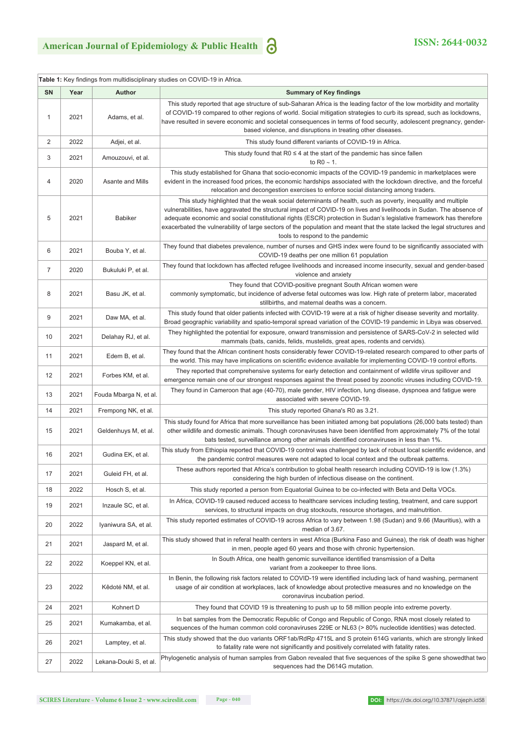$\overline{\phantom{a}}$ 

|                | Table 1: Key findings from multidisciplinary studies on COVID-19 in Africa. |                        |                                                                                                                                                                                                                                                                                                                                                                                                                                                                                                                              |  |  |
|----------------|-----------------------------------------------------------------------------|------------------------|------------------------------------------------------------------------------------------------------------------------------------------------------------------------------------------------------------------------------------------------------------------------------------------------------------------------------------------------------------------------------------------------------------------------------------------------------------------------------------------------------------------------------|--|--|
| <b>SN</b>      | Year                                                                        | Author                 | <b>Summary of Key findings</b>                                                                                                                                                                                                                                                                                                                                                                                                                                                                                               |  |  |
| $\mathbf{1}$   | 2021                                                                        | Adams, et al.          | This study reported that age structure of sub-Saharan Africa is the leading factor of the low morbidity and mortality<br>of COVID-19 compared to other regions of world. Social mitigation strategies to curb its spread, such as lockdowns,<br>have resulted in severe economic and societal consequences in terms of food security, adolescent pregnancy, gender-<br>based violence, and disruptions in treating other diseases.                                                                                           |  |  |
| 2              | 2022                                                                        | Adjei, et al.          | This study found different variants of COVID-19 in Africa.                                                                                                                                                                                                                                                                                                                                                                                                                                                                   |  |  |
| 3              | 2021                                                                        | Amouzouvi, et al.      | This study found that $R0 \leq 4$ at the start of the pandemic has since fallen<br>to R0 $\sim$ 1.                                                                                                                                                                                                                                                                                                                                                                                                                           |  |  |
| 4              | 2020                                                                        | Asante and Mills       | This study established for Ghana that socio-economic impacts of the COVID-19 pandemic in marketplaces were<br>evident in the increased food prices, the economic hardships associated with the lockdown directive, and the forceful<br>relocation and decongestion exercises to enforce social distancing among traders.                                                                                                                                                                                                     |  |  |
| 5              | 2021                                                                        | <b>Babiker</b>         | This study highlighted that the weak social determinants of health, such as poverty, inequality and multiple<br>vulnerabilities, have aggravated the structural impact of COVID-19 on lives and livelihoods in Sudan. The absence of<br>adequate economic and social constitutional rights (ESCR) protection in Sudan's legislative framework has therefore<br>exacerbated the vulnerability of large sectors of the population and meant that the state lacked the legal structures and<br>tools to respond to the pandemic |  |  |
| 6              | 2021                                                                        | Bouba Y, et al.        | They found that diabetes prevalence, number of nurses and GHS index were found to be significantly associated with<br>COVID-19 deaths per one million 61 population                                                                                                                                                                                                                                                                                                                                                          |  |  |
| $\overline{7}$ | 2020                                                                        | Bukuluki P, et al.     | They found that lockdown has affected refugee livelihoods and increased income insecurity, sexual and gender-based<br>violence and anxiety                                                                                                                                                                                                                                                                                                                                                                                   |  |  |
| 8              | 2021                                                                        | Basu JK, et al.        | They found that COVID-positive pregnant South African women were<br>commonly symptomatic, but incidence of adverse fetal outcomes was low. High rate of preterm labor, macerated<br>stillbirths, and maternal deaths was a concern.                                                                                                                                                                                                                                                                                          |  |  |
| 9              | 2021                                                                        | Daw MA, et al.         | This study found that older patients infected with COVID-19 were at a risk of higher disease severity and mortality.<br>Broad geographic variability and spatio-temporal spread variation of the COVID-19 pandemic in Libya was observed.                                                                                                                                                                                                                                                                                    |  |  |
| 10             | 2021                                                                        | Delahay RJ, et al.     | They highlighted the potential for exposure, onward transmission and persistence of SARS-CoV-2 in selected wild<br>mammals (bats, canids, felids, mustelids, great apes, rodents and cervids).                                                                                                                                                                                                                                                                                                                               |  |  |
| 11             | 2021                                                                        | Edem B, et al.         | They found that the African continent hosts considerably fewer COVID-19-related research compared to other parts of<br>the world. This may have implications on scientific evidence available for implementing COVID-19 control efforts.                                                                                                                                                                                                                                                                                     |  |  |
| 12             | 2021                                                                        | Forbes KM, et al.      | They reported that comprehensive systems for early detection and containment of wildlife virus spillover and<br>emergence remain one of our strongest responses against the threat posed by zoonotic viruses including COVID-19.                                                                                                                                                                                                                                                                                             |  |  |
| 13             | 2021                                                                        | Fouda Mbarga N, et al. | They found in Cameroon that age (40-70), male gender, HIV infection, lung disease, dyspnoea and fatigue were<br>associated with severe COVID-19.                                                                                                                                                                                                                                                                                                                                                                             |  |  |
| 14             | 2021                                                                        | Frempong NK, et al.    | This study reported Ghana's R0 as 3.21.                                                                                                                                                                                                                                                                                                                                                                                                                                                                                      |  |  |
| 15             | 2021                                                                        | Geldenhuys M, et al.   | This study found for Africa that more surveillance has been initiated among bat populations (26,000 bats tested) than<br>other wildlife and domestic animals. Though coronaviruses have been identified from approximately 7% of the total<br>bats tested, surveillance among other animals identified coronaviruses in less than 1%.                                                                                                                                                                                        |  |  |
| 16             | 2021                                                                        | Gudina EK, et al.      | This study from Ethiopia reported that COVID-19 control was challenged by lack of robust local scientific evidence, and<br>the pandemic control measures were not adapted to local context and the outbreak patterns.                                                                                                                                                                                                                                                                                                        |  |  |
| 17             | 2021                                                                        | Guleid FH, et al.      | These authors reported that Africa's contribution to global health research including COVID-19 is low (1.3%)<br>considering the high burden of infectious disease on the continent.                                                                                                                                                                                                                                                                                                                                          |  |  |
| 18             | 2022                                                                        | Hosch S, et al.        | This study reported a person from Equatorial Guinea to be co-infected with Beta and Delta VOCs.                                                                                                                                                                                                                                                                                                                                                                                                                              |  |  |
| 19             | 2021                                                                        | Inzaule SC, et al.     | In Africa, COVID-19 caused reduced access to healthcare services including testing, treatment, and care support<br>services, to structural impacts on drug stockouts, resource shortages, and malnutrition.                                                                                                                                                                                                                                                                                                                  |  |  |
| 20             | 2022                                                                        | Iyaniwura SA, et al.   | This study reported estimates of COVID-19 across Africa to vary between 1.98 (Sudan) and 9.66 (Mauritius), with a<br>median of 3.67.                                                                                                                                                                                                                                                                                                                                                                                         |  |  |
| 21             | 2021                                                                        | Jaspard M, et al.      | This study showed that in referal health centers in west Africa (Burkina Faso and Guinea), the risk of death was higher<br>in men, people aged 60 years and those with chronic hypertension.                                                                                                                                                                                                                                                                                                                                 |  |  |
| 22             | 2022                                                                        | Koeppel KN, et al.     | In South Africa, one health genomic surveillance identified transmission of a Delta<br>variant from a zookeeper to three lions.                                                                                                                                                                                                                                                                                                                                                                                              |  |  |
| 23             | 2022                                                                        | Kêdoté NM, et al.      | In Benin, the following risk factors related to COVID-19 were identified including lack of hand washing, permanent<br>usage of air condition at workplaces, lack of knowledge about protective measures and no knowledge on the<br>coronavirus incubation period.                                                                                                                                                                                                                                                            |  |  |
| 24             | 2021                                                                        | Kohnert D              | They found that COVID 19 is threatening to push up to 58 million people into extreme poverty.                                                                                                                                                                                                                                                                                                                                                                                                                                |  |  |
| 25             | 2021                                                                        | Kumakamba, et al.      | In bat samples from the Democratic Republic of Congo and Republic of Congo, RNA most closely related to<br>sequences of the human common cold coronaviruses 229E or NL63 (> 80% nucleotide identities) was detected.                                                                                                                                                                                                                                                                                                         |  |  |
| 26             | 2021                                                                        | Lamptey, et al.        | This study showed that the duo variants ORF1ab/RdRp 4715L and S protein 614G variants, which are strongly linked<br>to fatality rate were not significantly and positively correlated with fatality rates.                                                                                                                                                                                                                                                                                                                   |  |  |
| 27             | 2022                                                                        | Lekana-Douki S, et al. | Phylogenetic analysis of human samples from Gabon revealed that five sequences of the spike S gene showedthat two<br>sequences had the D614G mutation.                                                                                                                                                                                                                                                                                                                                                                       |  |  |

**DOI:** https://dx.doi.org/10.37871/ajeph.id58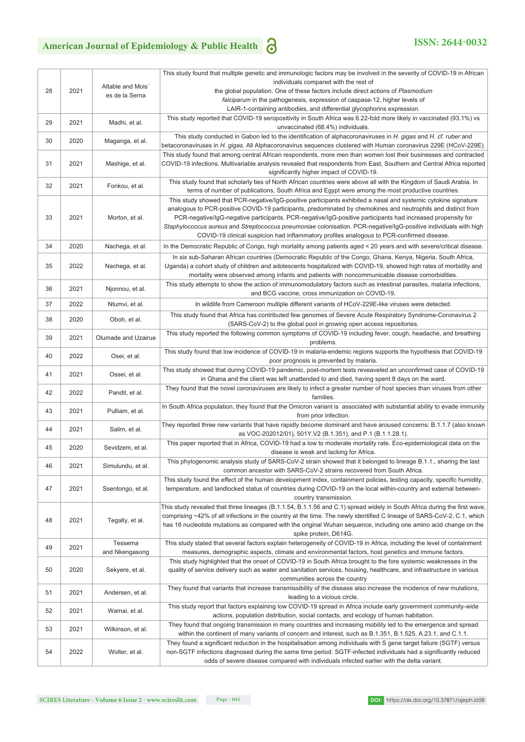### American Journal of Epidemiology & Public Health **3 ISSN: 2644-0032**

|    |      |                     | This study found that multiple genetic and immunologic factors may be involved in the severity of COVID-19 in African                                                                                                                    |
|----|------|---------------------|------------------------------------------------------------------------------------------------------------------------------------------------------------------------------------------------------------------------------------------|
|    |      | Altable and Mois'   | individuals compared with the rest of                                                                                                                                                                                                    |
| 28 | 2021 | es de la Serna      | the global population. One of these factors include direct actions of Plasmodium                                                                                                                                                         |
|    |      |                     | <i>falciparum</i> in the pathogenesis, expression of caspase-12, higher levels of                                                                                                                                                        |
|    |      |                     | LAIR-1-containing antibodies, and differential glycophorins expression.<br>This study reported that COVID-19 seropositivity in South Africa was 6.22-fold more likely in vaccinated (93.1%) vs                                           |
| 29 | 2021 | Madhi, et al.       | unvaccinated (68.4%) individuals.                                                                                                                                                                                                        |
|    |      |                     | This study conducted in Gabon led to the identification of alphacoronaviruses in H. gigas and H. cf. ruber and                                                                                                                           |
| 30 | 2020 | Maganga, et al.     | betacoronaviruses in <i>H. gigas</i> . All Alphacoronavirus sequences clustered with Human coronavirus 229E (HCoV-229E).                                                                                                                 |
|    |      |                     | This study found that among central African respondents, more men than women lost their businesses and contracted                                                                                                                        |
| 31 | 2021 | Mashige, et al.     | COVID-19 infections. Multivariable analysis revealed that respondents from East, Southern and Central Africa reported                                                                                                                    |
|    |      |                     | significantly higher impact of COVID-19.<br>This study found that scholarly ties of North African countries were above all with the Kingdom of Saudi Arabia. In                                                                          |
| 32 | 2021 | Fonkou, et al.      | terms of number of publications, South Africa and Egypt were among the most productive countries.                                                                                                                                        |
|    |      |                     | This study showed that PCR-negative/IgG-positive participants exhibited a nasal and systemic cytokine signature                                                                                                                          |
|    |      |                     | analogous to PCR-positive COVID-19 participants, predominated by chemokines and neutrophils and distinct from                                                                                                                            |
| 33 | 2021 | Morton, et al.      | PCR-negative/lgG-negative participants. PCR-negative/lgG-positive participants had increased propensity for                                                                                                                              |
|    |      |                     | Staphylococcus aureus and Streptococcus pneumoniae colonisation. PCR-negative/IgG-positive individuals with high                                                                                                                         |
|    |      |                     | COVID-19 clinical suspicion had inflammatory profiles analogous to PCR-confirmed disease.                                                                                                                                                |
| 34 | 2020 | Nachega, et al.     | In the Democratic Republic of Congo, high mortality among patients aged < 20 years and with severe/critical disease.                                                                                                                     |
|    |      |                     | In six sub-Saharan African countries (Democratic Republic of the Congo, Ghana, Kenya, Nigeria, South Africa,                                                                                                                             |
| 35 | 2022 | Nachega, et al.     | Uganda) a cohort study of children and adolescents hospitalized with COVID-19, showed high rates of morbidity and<br>mortality were observed among infants and patients with noncommunicable disease comorbidities.                      |
|    |      |                     | This study attempts to show the action of immunomodulatory factors such as intestinal parasites, malaria infections,                                                                                                                     |
| 36 | 2021 | Njonnou, et al.     | and BCG vaccine, cross immunization on COVID-19.                                                                                                                                                                                         |
| 37 | 2022 | Ntumvi, et al.      | In wildlife from Cameroon multiple different variants of HCoV-229E-like viruses were detected.                                                                                                                                           |
|    |      |                     | This study found that Africa has contributed few genomes of Severe Acute Respiratory Syndrome-Coronavirus 2                                                                                                                              |
| 38 | 2020 | Oboh, et al.        | (SARS-CoV-2) to the global pool in growing open access repositories.                                                                                                                                                                     |
| 39 | 2021 | Olumade and Uzairue | This study reported the following common symptoms of COVID-19 including fever, cough, headache, and breathing                                                                                                                            |
|    |      |                     | problems.                                                                                                                                                                                                                                |
| 40 | 2022 | Osei, et al.        | This study found that low incidence of COVID-19 in malaria-endemic regions supports the hypothesis that COVID-19                                                                                                                         |
|    |      |                     | poor prognosis is prevented by malaria.                                                                                                                                                                                                  |
| 41 | 2021 | Ossei, et al.       | This study showed that during COVID-19 pandemic, post-mortem tests reveaveled an unconfirmed case of COVID-19<br>in Ghana and the client was left unattended to and died, having spent 8 days on the ward.                               |
|    |      |                     | They found that the novel coronaviruses are likely to infect a greater number of host species than viruses from other                                                                                                                    |
| 42 | 2022 | Pandit, et al.      | families.                                                                                                                                                                                                                                |
| 43 | 2021 | Pulliam, et al.     | In South Africa population, they found that the Omicron variant is associated with substantial ability to evade immunity                                                                                                                 |
|    |      |                     | from prior infection.                                                                                                                                                                                                                    |
| 44 | 2021 | Salim, et al.       | They reported three new variants that have rapidly become dominant and have aroused concerns: B.1.1.7 (also known                                                                                                                        |
|    |      |                     | as VOC-202012/01), 501Y.V2 (B.1.351), and P.1 (B.1.1.28.1).<br>This paper reported that in Africa, COVID-19 had a low to moderate mortality rate. Eco-epidemiological data on the                                                        |
| 45 | 2020 | Sevidzem, et al.    | disease is weak and lacking for Africa.                                                                                                                                                                                                  |
|    |      |                     | This phylogenomic analysis study of SARS-CoV-2 strain showed that it belonged to lineage B.1.1., sharing the last                                                                                                                        |
| 46 | 2021 | Simulundu, et al.   | common ancestor with SARS-CoV-2 strains recovered from South Africa.                                                                                                                                                                     |
|    |      |                     | This study found the effect of the human development index, containment policies, testing capacity, specific humidity,                                                                                                                   |
| 47 | 2021 | Ssentongo, et al.   | temperature, and landlocked status of countries during COVID-19 on the local within-country and external between-                                                                                                                        |
|    |      |                     | country transmission.<br>This study revealed that three lineages (B.1.1.54, B.1.1.56 and C.1) spread widely in South Africa during the first wave,                                                                                       |
|    | 2021 | Tegally, et al.     | comprising ~42% of all infections in the country at the time. The newly identified C lineage of SARS-CoV-2, C.1, which                                                                                                                   |
| 48 |      |                     | has 16 nucleotide mutations as compared with the original Wuhan sequence, including one amino acid change on the                                                                                                                         |
|    |      |                     | spike protein, D614G.                                                                                                                                                                                                                    |
| 49 | 2021 | Tessema             | This study stated that several factors explain heterogeneity of COVID-19 in Africa, including the level of containment                                                                                                                   |
|    |      | and Nkengasong      | measures, demographic aspects, climate and environmental factors, host genetics and immune factors.                                                                                                                                      |
|    |      |                     | This study highlighted that the onset of COVID-19 in South Africa brought to the fore systemic weaknesses in the                                                                                                                         |
| 50 | 2020 | Sekyere, et al.     | quality of service delivery such as water and sanitation services, housing, healthcare, and infrastructure in various<br>communities across the country                                                                                  |
|    |      |                     | They found that variants that increase transmissibility of the disease also increase the incidence of new mutations,                                                                                                                     |
| 51 | 2021 | Andersen, et al.    | leading to a vicious circle.                                                                                                                                                                                                             |
|    | 2021 |                     | This study report that factors explaining low COVID-19 spread in Africa include early government community-wide                                                                                                                          |
|    |      | Wamai, et al.       | actions, population distribution, social contacts, and ecology of human habitation.                                                                                                                                                      |
| 52 |      |                     |                                                                                                                                                                                                                                          |
| 53 | 2021 | Wilkinson, et al.   | They found that ongoing transmission in many countries and increasing mobility led to the emergence and spread                                                                                                                           |
|    |      |                     | within the continent of many variants of concern and interest, such as B.1.351, B.1.525, A.23.1, and C.1.1.                                                                                                                              |
| 54 | 2022 | Wolter, et al.      | They found a significant reduction in the hospitalisation among individuals with S gene target failure (SGTF) versus<br>non-SGTF infections diagnosed during the same time period. SGTF-infected individuals had a significantly reduced |

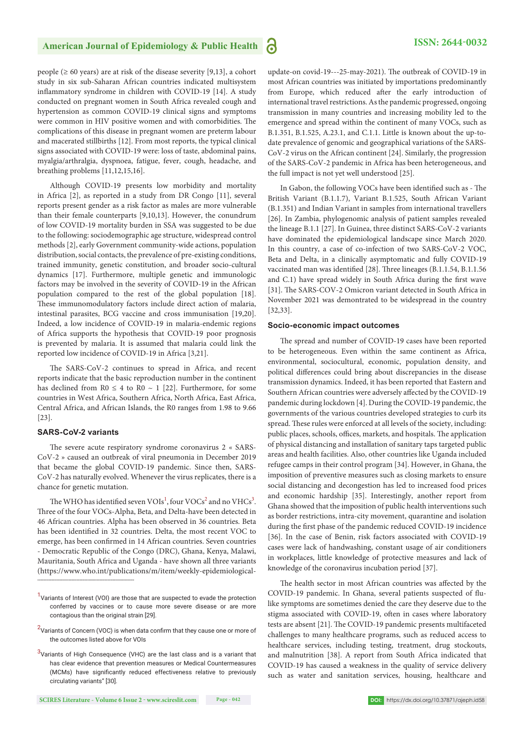people ( $\geq 60$  years) are at risk of the disease severity [9,13], a cohort study in six sub-Saharan African countries indicated multisystem inflammatory syndrome in children with COVID-19 [14]. A study conducted on pregnant women in South Africa revealed cough and hypertension as common COVID-19 clinical signs and symptoms were common in HIV positive women and with comorbidities. The complications of this disease in pregnant women are preterm labour and macerated stillbirths [12]. From most reports, the typical clinical signs associated with COVID-19 were: loss of taste, abdominal pains, myalgia/arthralgia, dyspnoea, fatigue, fever, cough, headache, and breathing problems [11,12,15,16].

Although COVID-19 presents low morbidity and mortality in Africa [2], as reported in a study from DR Congo [11], several reports present gender as a risk factor as males are more vulnerable than their female counterparts [9,10,13]. However, the conundrum of low COVID-19 mortality burden in SSA was suggested to be due to the following: sociodemographic age structure, widespread control methods [2], early Government community-wide actions, population distribution, social contacts, the prevalence of pre-existing conditions, trained immunity, genetic constitution, and broader socio-cultural dynamics [17]. Furthermore, multiple genetic and immunologic factors may be involved in the severity of COVID-19 in the African population compared to the rest of the global population [18]. These immunomodulatory factors include direct action of malaria, intestinal parasites, BCG vaccine and cross immunisation [19,20]. Indeed, a low incidence of COVID-19 in malaria-endemic regions of Africa supports the hypothesis that COVID-19 poor prognosis is prevented by malaria. It is assumed that malaria could link the reported low incidence of COVID-19 in Africa [3,21].

The SARS-CoV-2 continues to spread in Africa, and recent reports indicate that the basic reproduction number in the continent has declined from  $R0 \le 4$  to  $R0 \sim 1$  [22]. Furthermore, for some countries in West Africa, Southern Africa, North Africa, East Africa, Central Africa, and African Islands, the R0 ranges from 1.98 to 9.66 [23].

#### **SARS-CoV-2 variants**

--------------------------------------------------------------

The severe acute respiratory syndrome coronavirus 2 « SARS-CoV-2 » caused an outbreak of viral pneumonia in December 2019 that became the global COVID-19 pandemic. Since then, SARS-CoV-2 has naturally evolved. Whenever the virus replicates, there is a chance for genetic mutation.

The WHO has identified seven  $\mathrm{VOIs}^1$ , four  $\mathrm{VOCs}^2$  and no  $\mathrm{VHCs}^3$ . Three of the four VOCs-Alpha, Beta, and Delta-have been detected in 46 African countries. Alpha has been observed in 36 countries. Beta has been identified in 32 countries. Delta, the most recent VOC to emerge, has been confirmed in 14 African countries. Seven countries - Democratic Republic of the Congo (DRC), Ghana, Kenya, Malawi, Mauritania, South Africa and Uganda - have shown all three variants (https://www.who.int/publications/m/item/weekly-epidemiologicalupdate-on covid-19---25-may-2021). The outbreak of COVID-19 in most African countries was initiated by importations predominantly from Europe, which reduced after the early introduction of international travel restrictions. As the pandemic progressed, ongoing transmission in many countries and increasing mobility led to the emergence and spread within the continent of many VOCs, such as B.1.351, B.1.525, A.23.1, and C.1.1. Little is known about the up-todate prevalence of genomic and geographical variations of the SARS-CoV-2 virus on the African continent [24]. Similarly, the progression of the SARS-CoV-2 pandemic in Africa has been heterogeneous, and the full impact is not yet well understood [25].

In Gabon, the following VOCs have been identified such as - The British Variant (B.1.1.7), Variant B.1.525, South African Variant (B.1.351) and Indian Variant in samples from international travellers [26]. In Zambia, phylogenomic analysis of patient samples revealed the lineage B.1.1 [27]. In Guinea, three distinct SARS-CoV-2 variants have dominated the epidemiological landscape since March 2020. In this country, a case of co-infection of two SARS-CoV-2 VOC, Beta and Delta, in a clinically asymptomatic and fully COVID-19 vaccinated man was identified [28]. Three lineages (B.1.1.54, B.1.1.56 and C.1) have spread widely in South Africa during the first wave [31]. The SARS-COV-2 Omicron variant detected in South Africa in November 2021 was demontrated to be widespread in the country [32,33].

#### **Socio-economic impact outcomes**

The spread and number of COVID-19 cases have been reported to be heterogeneous. Even within the same continent as Africa, environmental, sociocultural, economic, population density, and political differences could bring about discrepancies in the disease transmission dynamics. Indeed, it has been reported that Eastern and Southern African countries were adversely affected by the COVID-19 pandemic during lockdown [4]. During the COVID-19 pandemic, the governments of the various countries developed strategies to curb its spread. These rules were enforced at all levels of the society, including: public places, schools, offices, markets, and hospitals. The application of physical distancing and installation of sanitary taps targeted public areas and health facilities. Also, other countries like Uganda included refugee camps in their control program [34]. However, in Ghana, the imposition of preventive measures such as closing markets to ensure social distancing and decongestion has led to increased food prices and economic hardship [35]. Interestingly, another report from Ghana showed that the imposition of public health interventions such as border restrictions, intra-city movement, quarantine and isolation during the first phase of the pandemic reduced COVID-19 incidence [36]. In the case of Benin, risk factors associated with COVID-19 cases were lack of handwashing, constant usage of air conditioners in workplaces, little knowledge of protective measures and lack of knowledge of the coronavirus incubation period [37].

The health sector in most African countries was affected by the COVID-19 pandemic. In Ghana, several patients suspected of flulike symptoms are sometimes denied the care they deserve due to the stigma associated with COVID-19, often in cases where laboratory tests are absent [21]. The COVID-19 pandemic presents multifaceted challenges to many healthcare programs, such as reduced access to healthcare services, including testing, treatment, drug stockouts, and malnutrition [38]. A report from South Africa indicated that COVID-19 has caused a weakness in the quality of service delivery such as water and sanitation services, housing, healthcare and

<sup>&</sup>lt;sup>1</sup>Variants of Interest (VOI) are those that are suspected to evade the protection conferred by vaccines or to cause more severe disease or are more contagious than the original strain [29].

 $^{2}$ Variants of Concern (VOC) is when data confirm that they cause one or more of the outcomes listed above for VOIs

 $3$ Variants of High Consequence (VHC) are the last class and is a variant that has clear evidence that prevention measures or Medical Countermeasures (MCMs) have significantly reduced effectiveness relative to previously circulating variants" [30].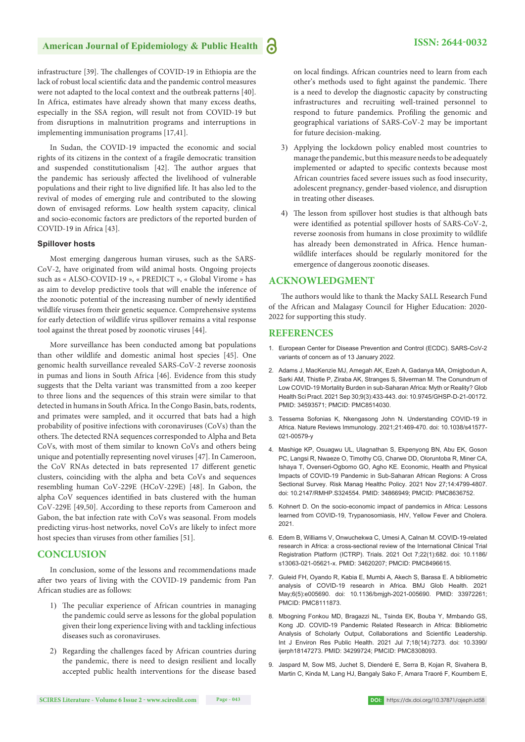infrastructure [39]. The challenges of COVID-19 in Ethiopia are the lack of robust local scientific data and the pandemic control measures were not adapted to the local context and the outbreak patterns [40]. In Africa, estimates have already shown that many excess deaths, especially in the SSA region, will result not from COVID-19 but from disruptions in malnutrition programs and interruptions in implementing immunisation programs [17,41].

In Sudan, the COVID-19 impacted the economic and social rights of its citizens in the context of a fragile democratic transition and suspended constitutionalism [42]. The author argues that the pandemic has seriously affected the livelihood of vulnerable populations and their right to live dignified life. It has also led to the revival of modes of emerging rule and contributed to the slowing down of envisaged reforms. Low health system capacity, clinical and socio-economic factors are predictors of the reported burden of COVID-19 in Africa [43].

#### **Spillover hosts**

Most emerging dangerous human viruses, such as the SARS-CoV-2, have originated from wild animal hosts. Ongoing projects such as « ALSO-COVID-19 », « PREDICT », « Global Virome » has as aim to develop predictive tools that will enable the inference of the zoonotic potential of the increasing number of newly identified wildlife viruses from their genetic sequence. Comprehensive systems for early detection of wildlife virus spillover remains a vital response tool against the threat posed by zoonotic viruses [44].

More surveillance has been conducted among bat populations than other wildlife and domestic animal host species [45]. One genomic health surveillance revealed SARS-CoV-2 reverse zoonosis in pumas and lions in South Africa [46]. Evidence from this study suggests that the Delta variant was transmitted from a zoo keeper to three lions and the sequences of this strain were similar to that detected in humans in South Africa. In the Congo Basin, bats, rodents, and primates were sampled, and it occurred that bats had a high probability of positive infections with coronaviruses (CoVs) than the others. The detected RNA sequences corresponded to Alpha and Beta CoVs, with most of them similar to known CoVs and others being unique and potentially representing novel viruses [47]. In Cameroon, the CoV RNAs detected in bats represented 17 different genetic clusters, coinciding with the alpha and beta CoVs and sequences resembling human CoV-229E (HCoV-229E) [48]. In Gabon, the alpha CoV sequences identified in bats clustered with the human CoV-229E [49,50]. According to these reports from Cameroon and Gabon, the bat infection rate with CoVs was seasonal. From models predicting virus-host networks, novel CoVs are likely to infect more host species than viruses from other families [51].

#### **CONCLUSION**

In conclusion, some of the lessons and recommendations made after two years of living with the COVID-19 pandemic from Pan African studies are as follows:

- 1) The peculiar experience of African countries in managing the pandemic could serve as lessons for the global population given their long experience living with and tackling infectious diseases such as coronaviruses.
- 2) Regarding the challenges faced by African countries during the pandemic, there is need to design resilient and locally accepted public health interventions for the disease based

on local findings. African countries need to learn from each other's methods used to fight against the pandemic. There is a need to develop the diagnostic capacity by constructing infrastructures and recruiting well-trained personnel to respond to future pandemics. Profiling the genomic and geographical variations of SARS-CoV-2 may be important for future decision-making.

- 3) Applying the lockdown policy enabled most countries to manage the pandemic, but this measure needs to be adequately implemented or adapted to specific contexts because most African countries faced severe issues such as food insecurity, adolescent pregnancy, gender-based violence, and disruption in treating other diseases.
- 4) The lesson from spillover host studies is that although bats were identified as potential spillover hosts of SARS-CoV-2, reverse zoonosis from humans in close proximity to wildlife has already been demonstrated in Africa. Hence humanwildlife interfaces should be regularly monitored for the emergence of dangerous zoonotic diseases.

#### **ACKNOWLEDGMENT**

The authors would like to thank the Macky SALL Research Fund of the African and Malagasy Council for Higher Education: 2020- 2022 for supporting this study.

#### **REFERENCES**

- 1. European Center for Disease Prevention and Control (ECDC). SARS-CoV-2 variants of concern as of 13 January 2022.
- 2. Adams J, MacKenzie MJ, Amegah AK, Ezeh A, Gadanya MA, Omigbodun A, Sarki AM, Thistle P, Ziraba AK, Stranges S, Silverman M. The Conundrum of Low COVID-19 Mortality Burden in sub-Saharan Africa: Myth or Reality? Glob Health Sci Pract. 2021 Sep 30;9(3):433-443. doi: 10.9745/GHSP-D-21-00172. PMID: 34593571; PMCID: PMC8514030.
- 3. Tessema Sofonias K, Nkengasong John N. Understanding COVID-19 in Africa. Nature Reviews Immunology. 2021;21:469-470. doi: 10.1038/s41577- 021-00579-y
- 4. Mashige KP, Osuagwu UL, Ulagnathan S, Ekpenyong BN, Abu EK, Goson PC, Langsi R, Nwaeze O, Timothy CG, Charwe DD, Oloruntoba R, Miner CA, Ishaya T, Ovenseri-Ogbomo GO, Agho KE. Economic, Health and Physical Impacts of COVID-19 Pandemic in Sub-Saharan African Regions: A Cross Sectional Survey. Risk Manag Healthc Policy. 2021 Nov 27;14:4799-4807. doi: 10.2147/RMHP.S324554. PMID: 34866949; PMCID: PMC8636752.
- 5. Kohnert D. On the socio-economic impact of pandemics in Africa: Lessons learned from COVID-19, Trypanosomiasis, HIV, Yellow Fever and Cholera. 2021.
- 6. Edem B, Williams V, Onwuchekwa C, Umesi A, Calnan M. COVID-19-related research in Africa: a cross-sectional review of the International Clinical Trial Registration Platform (ICTRP). Trials. 2021 Oct 7;22(1):682. doi: 10.1186/ s13063-021-05621-x. PMID: 34620207; PMCID: PMC8496615.
- 7. Guleid FH, Oyando R, Kabia E, Mumbi A, Akech S, Barasa E. A bibliometric analysis of COVID-19 research in Africa. BMJ Glob Health. 2021 May;6(5):e005690. doi: 10.1136/bmjgh-2021-005690. PMID: 33972261; PMCID: PMC8111873.
- 8. Mbogning Fonkou MD, Bragazzi NL, Tsinda EK, Bouba Y, Mmbando GS, Kong JD. COVID-19 Pandemic Related Research in Africa: Bibliometric Analysis of Scholarly Output, Collaborations and Scientific Leadership. Int J Environ Res Public Health. 2021 Jul 7;18(14):7273. doi: 10.3390/ ijerph18147273. PMID: 34299724; PMCID: PMC8308093.
- 9. Jaspard M, Sow MS, Juchet S, Dienderé E, Serra B, Kojan R, Sivahera B, Martin C, Kinda M, Lang HJ, Bangaly Sako F, Amara Traoré F, Koumbem E,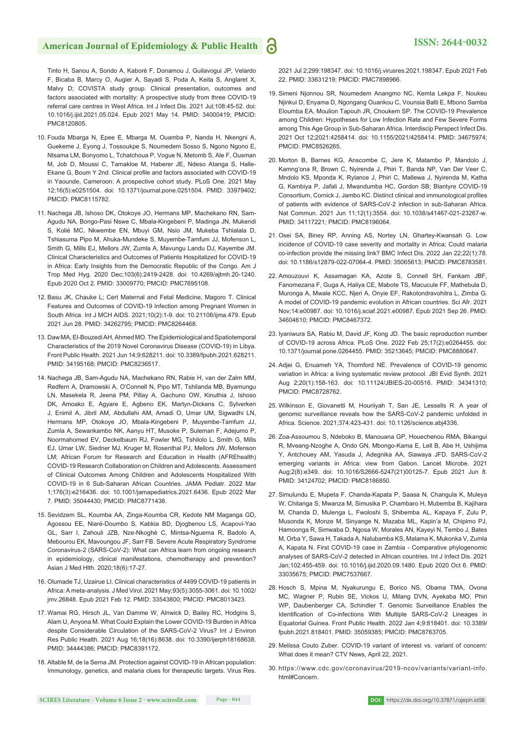Tinto H, Sanou A, Sondo A, Kaboré F, Donamou J, Guilavogui JP, Velardo F, Bicaba B, Marcy O, Augier A, Sayadi S, Poda A, Keita S, Anglaret X, Malvy D; COVISTA study group. Clinical presentation, outcomes and factors associated with mortality: A prospective study from three COVID-19 referral care centres in West Africa. Int J Infect Dis. 2021 Jul;108:45-52. doi: 10.1016/j.ijid.2021.05.024. Epub 2021 May 14. PMID: 34000419; PMCID: PMC8120805.

- 10. Fouda Mbarga N, Epee E, Mbarga M, Ouamba P, Nanda H, Nkengni A, Guekeme J, Eyong J, Tossoukpe S, Noumedem Sosso S, Ngono Ngono E, Ntsama LM, Bonyomo L, Tchatchoua P, Vogue N, Metomb S, Ale F, Ousman M, Job D, Moussi C, Tamakloe M, Haberer JE, Ndeso Atanga S, Halle-Ekane G, Boum Y 2nd. Clinical profile and factors associated with COVID-19 in Yaounde, Cameroon: A prospective cohort study. PLoS One. 2021 May 12;16(5):e0251504. doi: 10.1371/journal.pone.0251504. PMID: 33979402; PMCID: PMC8115782.
- 11. Nachega JB, Ishoso DK, Otokoye JO, Hermans MP, Machekano RN, Sam-Agudu NA, Bongo-Pasi Nswe C, Mbala-Kingebeni P, Madinga JN, Mukendi S, Kolié MC, Nkwembe EN, Mbuyi GM, Nsio JM, Mukeba Tshialala D, Tshiasuma Pipo M, Ahuka-Mundeke S, Muyembe-Tamfum JJ, Mofenson L, Smith G, Mills EJ, Mellors JW, Zumla A, Mavungu Landu DJ, Kayembe JM. Clinical Characteristics and Outcomes of Patients Hospitalized for COVID-19 in Africa: Early Insights from the Democratic Republic of the Congo. Am J Trop Med Hyg. 2020 Dec;103(6):2419-2428. doi: 10.4269/ajtmh.20-1240. Epub 2020 Oct 2. PMID: 33009770; PMCID: PMC7695108.
- 12. Basu JK, Chauke L; Cert Maternal and Fetal Medicine, Magoro T. Clinical Features and Outcomes of COVID-19 Infection among Pregnant Women in South Africa. Int J MCH AIDS. 2021;10(2):1-9. doi: 10.21106/ijma.479. Epub 2021 Jun 28. PMID: 34262795; PMCID: PMC8264468.
- 13. Daw MA, El-Bouzedi AH, Ahmed MO. The Epidemiological and Spatiotemporal Characteristics of the 2019 Novel Coronavirus Disease (COVID-19) in Libya. Front Public Health. 2021 Jun 14;9:628211. doi: 10.3389/fpubh.2021.628211. PMID: 34195168; PMCID: PMC8236517.
- 14. Nachega JB, Sam-Agudu NA, Machekano RN, Rabie H, van der Zalm MM, Redfern A, Dramowski A, O'Connell N, Pipo MT, Tshilanda MB, Byamungu LN, Masekela R, Jeena PM, Pillay A, Gachuno OW, Kinuthia J, Ishoso DK, Amoako E, Agyare E, Agbeno EK, Martyn-Dickens C, Sylverken J, Enimil A, Jibril AM, Abdullahi AM, Amadi O, Umar UM, Sigwadhi LN, Hermans MP, Otokoye JO, Mbala-Kingebeni P, Muyembe-Tamfum JJ, Zumla A, Sewankambo NK, Aanyu HT, Musoke P, Suleman F, Adejumo P, Noormahomed EV, Deckelbaum RJ, Fowler MG, Tshilolo L, Smith G, Mills EJ, Umar LW, Siedner MJ, Kruger M, Rosenthal PJ, Mellors JW, Mofenson LM; African Forum for Research and Education in Health (AFREhealth) COVID-19 Research Collaboration on Children and Adolescents. Assessment of Clinical Outcomes Among Children and Adolescents Hospitalized With COVID-19 in 6 Sub-Saharan African Countries. JAMA Pediatr. 2022 Mar 1;176(3):e216436. doi: 10.1001/jamapediatrics.2021.6436. Epub 2022 Mar 7. PMID: 35044430; PMCID: PMC8771438.
- 15. Sevidzem SL, Koumba AA, Zinga-Koumba CR, Kedote NM Maganga GD, Agossou EE, Niaré-Doumbo S, Kabkia BD, Djogbenou LS, Acapovi-Yao GL, Sarr I, Zahouli JZB, Nze-Nkoghé C, Mintsa-Nguema R, Badolo A, Mebourou EK, Mavoungou JF, Sarr FB. Severe Acute Respiratory Syndrome Coronavirus-2 (SARS-CoV-2): What can Africa learn from ongoing research in epidemiology, clinical manifestations, chemotherapy and prevention? Asian J Med Hlth. 2020;18(6):17-27.
- 16. Olumade TJ, Uzairue LI. Clinical characteristics of 4499 COVID-19 patients in Africa: A meta-analysis. J Med Virol. 2021 May;93(5):3055-3061. doi: 10.1002/ jmv.26848. Epub 2021 Feb 12. PMID: 33543800; PMCID: PMC8013423.
- 17. Wamai RG, Hirsch JL, Van Damme W, Alnwick D, Bailey RC, Hodgins S, Alam U, Anyona M. What Could Explain the Lower COVID-19 Burden in Africa despite Considerable Circulation of the SARS-CoV-2 Virus? Int J Environ Res Public Health. 2021 Aug 16;18(16):8638. doi: 10.3390/ijerph18168638. PMID: 34444386; PMCID: PMC8391172.
- 18. Altable M, de la Serna JM. Protection against COVID-19 in African population: Immunology, genetics, and malaria clues for therapeutic targets. Virus Res.

2021 Jul 2;299:198347. doi: 10.1016/j.virusres.2021.198347. Epub 2021 Feb 22. PMID: 33631219; PMCID: PMC7898966.

- 19. Simeni Njonnou SR, Noumedem Anangmo NC, Kemta Lekpa F, Noukeu Njinkui D, Enyama D, Ngongang Ouankou C, Vounsia Balti E, Mbono Samba Eloumba EA, Moulion Tapouh JR, Choukem SP. The COVID-19 Prevalence among Children: Hypotheses for Low Infection Rate and Few Severe Forms among This Age Group in Sub-Saharan Africa. Interdiscip Perspect Infect Dis. 2021 Oct 12;2021:4258414. doi: 10.1155/2021/4258414. PMID: 34675974; PMCID: PMC8526265.
- 20. Morton B, Barnes KG, Anscombe C, Jere K, Matambo P, Mandolo J, Kamng'ona R, Brown C, Nyirenda J, Phiri T, Banda NP, Van Der Veer C, Mndolo KS, Mponda K, Rylance J, Phiri C, Mallewa J, Nyirenda M, Katha G, Kambiya P, Jafali J, Mwandumba HC, Gordon SB; Blantyre COVID-19 Consortium, Cornick J, Jambo KC. Distinct clinical and immunological profiles of patients with evidence of SARS-CoV-2 infection in sub-Saharan Africa. Nat Commun. 2021 Jun 11;12(1):3554. doi: 10.1038/s41467-021-23267-w. PMID: 34117221; PMCID: PMC8196064.
- 21. Osei SA, Biney RP, Anning AS, Nortey LN, Ghartey-Kwansah G. Low incidence of COVID-19 case severity and mortality in Africa; Could malaria co-infection provide the missing link? BMC Infect Dis. 2022 Jan 22;22(1):78. doi: 10.1186/s12879-022-07064-4. PMID: 35065613; PMCID: PMC8783581.
- 22. Amouzouvi K, Assamagan KA, Azote S, Connell SH, Fankam JBF, Fanomezana F, Guga A, Haliya CE, Mabote TS, Macucule FF, Mathebula D, Muronga A, Mwale KCC, Njeri A, Onyie EF, Rakotondravohitra L, Zimba G. A model of COVID-19 pandemic evolution in African countries. Sci Afr. 2021 Nov;14:e00987. doi: 10.1016/j.sciaf.2021.e00987. Epub 2021 Sep 26. PMID: 34604610; PMCID: PMC8467372.
- 23. Iyaniwura SA, Rabiu M, David JF, Kong JD. The basic reproduction number of COVID-19 across Africa. PLoS One. 2022 Feb 25;17(2):e0264455. doi: 10.1371/journal.pone.0264455. PMID: 35213645; PMCID: PMC8880647.
- 24. Adjei G, Enuameh YA, Thomford NE. Prevalence of COVID-19 genomic variation in Africa: a living systematic review protocol. JBI Evid Synth. 2021 Aug 2;20(1):158-163. doi: 10.11124/JBIES-20-00516. PMID: 34341310; PMCID: PMC8728762.
- 25. Wilkinson E, Giovanetti M, Houriiyah T, San JE, Lessells R. A year of genomic surveillance reveals how the SARS-CoV-2 pandemic unfolded in Africa. Science. 2021;374:423-431. doi: 10.1126/science.abj4336.
- 26. Zoa-Assoumou S, Ndeboko B, Manouana GP, Houechenou RMA, Bikangui R, Mveang-Nzoghe A, Ondo GN, Mbongo-Kama E, Lell B, Abe H, Ushijima Y, Antchouey AM, Yasuda J, Adegnika AA, Siawaya JFD. SARS-CoV-2 emerging variants in Africa: view from Gabon. Lancet Microbe. 2021 Aug;2(8):e349. doi: 10.1016/S2666-5247(21)00125-7. Epub 2021 Jun 8. PMID: 34124702; PMCID: PMC8186850.
- 27. Simulundu E, Mupeta F, Chanda-Kapata P, Saasa N, Changula K, Muleya W, Chitanga S, Mwanza M, Simusika P, Chambaro H, Mubemba B, Kajihara M, Chanda D, Mulenga L, Fwoloshi S, Shibemba AL, Kapaya F, Zulu P, Musonda K, Monze M, Sinyange N, Mazaba ML, Kapin'a M, Chipimo PJ, Hamoonga R, Simwaba D, Ngosa W, Morales AN, Kayeyi N, Tembo J, Bates M, Orba Y, Sawa H, Takada A, Nalubamba KS, Malama K, Mukonka V, Zumla A, Kapata N. First COVID-19 case in Zambia - Comparative phylogenomic analyses of SARS-CoV-2 detected in African countries. Int J Infect Dis. 2021 Jan;102:455-459. doi: 10.1016/j.ijid.2020.09.1480. Epub 2020 Oct 6. PMID: 33035675; PMCID: PMC7537667.
- 28. Hosch S, Mpina M, Nyakurungu E, Borico NS, Obama TMA, Ovona MC, Wagner P, Rubin SE, Vickos U, Milang DVN, Ayekaba MO, Phiri WP, Daubenberger CA, Schindler T. Genomic Surveillance Enables the Identification of Co-infections With Multiple SARS-CoV-2 Lineages in Equatorial Guinea. Front Public Health. 2022 Jan 4;9:818401. doi: 10.3389/ fpubh.2021.818401. PMID: 35059385; PMCID: PMC8763705.
- 29. Melissa Couto Zuber. COVID-19 variant of interest vs. variant of concern: What does it mean? CTV News, April 22, 2021.
- 30. https://www.cdc.gov/coronavirus/2019-ncov/variants/variant-info. html#Concern.